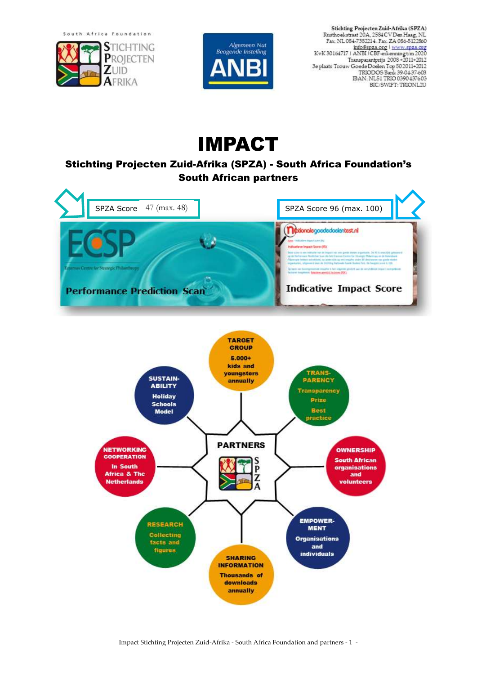South Africa Foundation





Stichting Projecten Zuid-Afrika (SPZA)<br>Rusthoekstraat 20A, 2584 CV Den Haag, NL<br>Fax. NL 084-7352214 . Fax. ZA 086-5122860 Fax: NL 064-7302214. Fax: ZA 066-5122800<br>info@spza.org | www.spza.org<br>KvK 30164717 | ANBI | CBF-erkenning tm 2020 Transparamprijs 2008 +2011+2012<br>3e plaats Trouw Goede Doelen Top 502011+2012<br>TRIODOS Bank 39-04-37-603 IBAN: NL51 TRIO 0390 437603 BIC/SWIFT: TRIONL2U

# IMPACT

## Stichting Projecten Zuid-Afrika (SPZA) - South Africa Foundation's South African partners



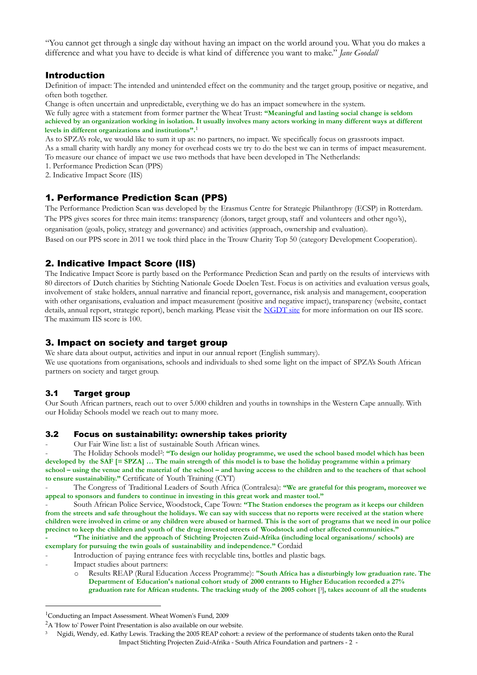"You cannot get through a single day without having an impact on the world around you. What you do makes a difference and what you have to decide is what kind of difference you want to make." *Jane Goodall*

### Introduction

Definition of impact: The intended and unintended effect on the community and the target group, positive or negative, and often both together.

Change is often uncertain and unpredictable, everything we do has an impact somewhere in the system.

We fully agree with a statement from former partner the Wheat Trust: **"Meaningful and lasting social change is seldom achieved by an organization working in isolation. It usually involves many actors working in many different ways at different levels in different organizations and institutions".** 1

As to SPZA's role, we would like to sum it up as: no partners, no impact. We specifically focus on grassroots impact. As a small charity with hardly any money for overhead costs we try to do the best we can in terms of impact measurement.

To measure our chance of impact we use two methods that have been developed in The Netherlands:

1. Performance Prediction Scan (PPS)

2. Indicative Impact Score (IIS)

#### 1. Performance Prediction Scan (PPS)

The Performance Prediction Scan was developed by the [Erasmus Centre for Strategic Philanthropy](http://www.erim.eur.nl/research/centres/strategic-philanthropy/) (ECSP) in Rotterdam. The PPS gives scores for three main items: transparency (donors, target group, staff and volunteers and other ngo's), organisation (goals, policy, strategy and governance) and activities (approach, ownership and evaluation). Based on our PPS score in 2011 we took third place in the Trouw Charity Top 50 (category Development Cooperation).

## 2. Indicative Impact Score (IIS)

The Indicative Impact Score is partly based on the Performance Prediction Scan and partly on the results of interviews with 80 directors of Dutch charities by [Stichting Nationale Goede Doelen Test.](http://www.goededoelentest.nl/) Focus is on activities and evaluation versus goals, involvement of stake holders, annual narrative and financial report, governance, risk analysis and management, cooperation with other organisations, evaluation and impact measurement (positive and negative impact), transparency (website, contact details, annual report, strategic report), bench marking. Please visit the [NGDT site](http://www.goededoelen.nl/) for more information on [our IIS score.](http://www.goededoelentest.nl/goede-doelen/projecten-zuid-afrika-onwikkelingshulp/) The maximum IIS score is 100.

## 3. Impact on society and target group

We share data about output, activities and input in our annual report (English summary). We use quotations from organisations, schools and individuals to shed some light on the impact of SPZA's South African partners on society and target group.

#### 3.1 Target group

Our South African partners, reach out to over 5.000 children and youths in townships in the Western Cape annually. With our [Holiday Schools model](http://www.spza.org/nl/publicaties-a-downloads/cat_view/61-publications-in-english/83-holiday-schools-how-to-presentation-and-model.html) we reach out to many more.

#### 3.2 Focus on sustainability: ownership takes priority

- Ou[r Fair Wine list:](http://www.spza.org/nl/publicaties-a-downloads/doc_download/31-fair-wine-list-south-africa.html) a list of sustainable South African wines.

- The [Holiday Schools model](http://www.spza.org/nl/publicaties-a-downloads/cat_view/61-publications-in-english/83-holiday-schools-how-to-presentation-and-model.html)<sup>2</sup>: "To design our holiday programme, we used the school based model which has been **developed by the SAF [= SPZA] … The main strength of this model is to base the holiday programme within a primary school – using the venue and the material of the school – and having access to the children and to the teachers of that school to ensure sustainability."** Certificate of Youth Training (CYT)

- The Congress of Traditional Leaders of South Africa (Contralesa): **"We are grateful for this program, moreover we appeal to sponsors and funders to continue in investing in this great work and master tool."**

- South African Police Service, Woodstock, Cape Town: **"The Station endorses the program as it keeps our children from the streets and safe throughout the holidays. We can say with success that no reports were received at the station where children were involved in crime or any children were abused or harmed. This is the sort of programs that we need in our police precinct to keep the children and youth of the drug invested streets of Woodstock and other affected communities."**

- **- "The initiative and the approach of Stichting Projecten Zuid-Afrika (including local organisations/ schools) are exemplary for pursuing the twin goals of sustainability and independence."** Cordaid
- Introduction of paying entrance fees with recyclable tins, bottles and plastic bags.
- Impact studies about partners:

<u>.</u>

o Results REAP (Rural Education Access Programme): **"South Africa has a disturbingly low graduation rate. The Department of Education's national cohort study of 2000 entrants to Higher Education recorded a 27% graduation rate for African students. The tracking study of the 2005 cohort** [ <sup>3</sup>]**, takes account of all the students** 

<sup>1</sup>Conducting an Impact Assessment. Wheat Women's Fund, 2009

<sup>&</sup>lt;sup>2</sup>A ['How to' Power Point Presentation](http://www.spza.org/nl/publicaties-a-downloads/doc_download/48-holiday-schools-model-a-how-to-presentation.html) is also available on our website.

Impact Stichting Projecten Zuid-Afrika - South Africa Foundation and partners - 2 - 3 Ngidi, Wendy, ed. Kathy Lewis. Tracking the 2005 REAP cohort: a review of the performance of students taken onto the Rural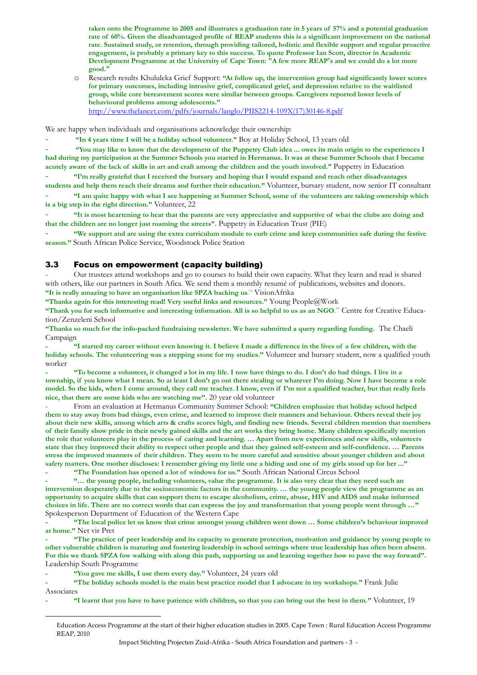**taken onto the Programme in 2005 and illustrates a graduation rate in 5 years of 57% and a potential graduation rate of 60%. Given the disadvantaged profile of REAP students this is a significant improvement on the national rate. Sustained study, or retention, through providing tailored, holistic and flexible support and regular proactive engagement, is probably a primary key to this success. To quote Professor Ian Scott, director in Academic Development Programme at the University of Cape Town: "A few more REAP's and we could do a lot more good."**

o Research results Khululeka Grief Support: **"At follow up, the intervention group had significantly lower scores for primary outcomes, including intrusive grief, complicated grief, and depression relative to the waitlisted group, while core bereavement scores were similar between groups. Caregivers reported lower levels of behavioural problems among adolescents."** [http://www.thelancet.com/pdfs/journals/langlo/PIIS2214-109X\(17\)30146-8.pdf](http://www.thelancet.com/pdfs/journals/langlo/PIIS2214-109X(17)30146-8.pdf)

We are happy when individuals and organisations acknowledge their ownership:

- **"In 4 years time I will be a holiday school volunteer."** Boy at Holiday School, 13 years old

- **"You may like to know that the development of the Puppetry Club idea ... owes its main origin to the experiences I had during my participation at the Summer Schools you started in Hermanus. It was at these Summer Schools that I became acutely aware of the lack of skills in art and craft among the children and the youth involved."** Puppetry in Education

- **"I'm really grateful that I received the bursary and hoping that I would expand and reach other disadvantages students and help them reach their dreams and further their education."** Volunteer, bursary student, now senior IT consultant

- **"I am quite happy with what I see happening at Summer School, some of the volunteers are taking ownership which is a big step in the right direction."** Volunteer, 22

- **"It is most heartening to hear that the parents are very appreciative and supportive of what the clubs are doing and that the children are no longer just roaming the streets".** Puppetry in Education Trust (PIE)

- **"We support and are using the extra curriculum module to curb crime and keep communities safe during the festive season."** South African Police Service, Woodstock Police Station

#### 3.3 Focus on empowerment (capacity building)

- Our trustees attend workshops and go to courses to build their own capacity. What they learn and read is shared with others, like our partners in South Afica. We send them a monthly resumé of publications, websites and donors**. "It is really amazing to have an organisation like SPZA backing us**." VisionAfrika

**"Thanks again for this interesting read! Very useful links and resources."** Young People@Work

**"Thank you for such informative and interesting information. All is so helpful to us as an NGO**." Centre for Creative Education/Zenzeleni School

**"Thanks so much for the info-packed fundraising newsletter. We have submitted a query regarding funding.** The Chaeli Campaign

**- "I started my career without even knowing it. I believe I made a difference in the lives of a few children, with the holiday schools. The volunteering was a stepping stone for my studies."** Volunteer and bursary student, now a qualified youth worker

**- "To become a volunteer, it changed a lot in my life. I now have things to do. I don't do bad things. I live in a township, if you know what I mean. So at least I don't go out there stealing or whatever I'm doing. Now I have become a role model. So the kids, when I come around, they call me teacher. I know, even if I'm not a qualified teacher, but that really feels nice, that there are some kids who are watching me".** 20 year old volunteer

- From an evaluation at Hermanus Community Summer School: **"Children emphasize that holiday school helped them to stay away from bad things, even crime, and learned to improve their manners and behaviour. Others reveal their joy about their new skills, among which arts & crafts scores high, and finding new friends. Several children mention that members of their family show pride in their newly gained skills and the art works they bring home. Many children specifically mention the role that volunteers play in the process of caring and learning. … Apart from new experiences and new skills, volunteers state that they improved their ability to respect other people and that they gained self-esteem and self-confidence. … Parents stress the improved manners of their children. They seem to be more careful and sensitive about younger children and about safety matters. One mother discloses: I remember giving my little one a hiding and one of my girls stood up for her ..." - "The Foundation has opened a lot of windows for us."** South African National Circus School

**- "… the young people, including volunteers, value the programme. It is also very clear that they need such an intervention desperately due to the socioeconomic factors in the community. … the young people view the programme as an opportunity to acquire skills that can support them to escape alcoholism, crime, abuse, HIV and AIDS and make informed choices in life. There are no correct words that can express the joy and transformation that young people went through …"** Spokesperson Department of Education of the Western Cape

**- "The local police let us know that crime amongst young children went down … Some children's behaviour improved at home."** Net vir Pret

**- "The practice of peer leadership and its capacity to generate protection, motivation and guidance by young people to other vulnerable children is maturing and fostering leadership in school settings where true leadership has often been absent. For this we thank SPZA fow walking with along this path, supporting us and learning together how to pave the way forward".** Leadership South Programme

**- "You gave me skills, I use them every day."** Volunteer, 24 years old

<u>.</u>

**- "The holiday schools model is the main best practice model that I advocate in my workshops."** Frank Julie Associates

**- "I learnt that you have to have patience with children, so that you can bring out the best in them."** Volunteer, 19

Education Access Programme at the start of their higher education studies in 2005. Cape Town : Rural Education Access Programme REAP, 2010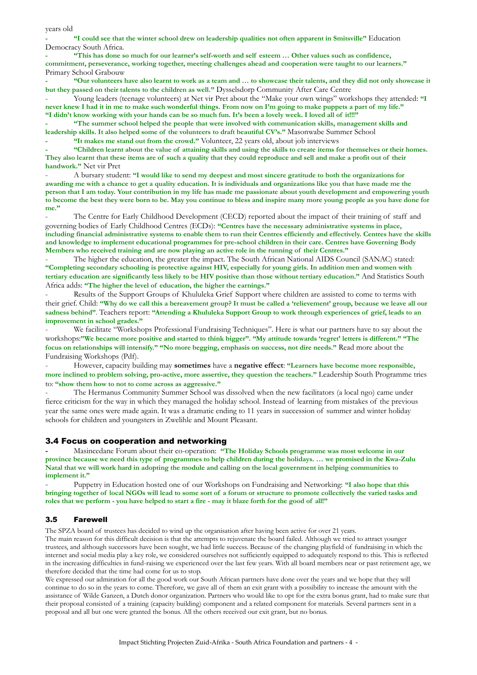years old

**- "I could see that the winter school drew on leadership qualities not often apparent in Smitsville"** Education Democracy South Africa.

**- "This has done so much for our learner's self-worth and self esteem … Other values such as confidence, commitment, perseverance, working together, meeting challenges ahead and cooperation were taught to our learners."** Primary School Grabouw

**- "Our volunteers have also learnt to work as a team and … to showcase their talents, and they did not only showcase it but they passed on their talents to the children as well."** Dysselsdorp Community After Care Centre

- Young leaders (teenage volunteers) at Net vir Pret about the "Make your own wings" workshops they attended: **"I never knew I had it in me to make such wonderful things. From now on I'm going to make puppets a part of my life." "I didn't know working with your hands can be so much fun. It's been a lovely week. I loved all of it!!!"**

**- "The summer school helped the people that were involved with communication skills, management skills and leadership skills. It also helped some of the volunteers to draft beautiful CV's."** Masonwabe Summer School

**- "It makes me stand out from the crowd."** Volunteer, 22 years old, about job interviews

**- "Children learnt about the value of attaining skills and using the skills to create items for themselves or their homes. They also learnt that these items are of such a quality that they could reproduce and sell and make a profit out of their handwork."** Net vir Pret

- A bursary student: **"I would like to send my deepest and most sincere gratitude to both the organizations for awarding me with a chance to get a quality education. It is individuals and organizations like you that have made me the person that I am today. Your contribution in my life has made me passionate about youth development and empowering youth to become the best they were born to be. May you continue to bless and inspire many more young people as you have done for**  me."

The Centre for Early Childhood Development (CECD) reported about the impact of their training of staff and governing bodies of Early Childhood Centres (ECDs): **"Centres have the necessary administrative systems in place, including financial administrative systems to enable them to run their Centres efficiently and effectively. Centres have the skills and knowledge to implement educational programmes for pre-school children in their care. Centres have Governing Body Members who received training and are now playing an active role in the running of their Centres."** 

The higher the education, the greater the impact. The South African National AIDS Council (SANAC) stated: **"Completing secondary schooling is protective against HIV, especially for young girls. In addition men and women with tertiary education are significantly less likely to be HIV positive than those without tertiary education."** And Statistics South Africa adds: **"The higher the level of education, the higher the earnings."**

Results of the Support Groups of Khululeka Grief Support where children are assisted to come to terms with their grief. Child: **"Why do we call this a bereavement group? It must be called a 'relievement' group, because we leave all our sadness behind"**. Teachers report: **"Attending a Khululeka Support Group to work through experiences of grief, leads to an improvement in school grades."**

We facilitate "Workshops Professional Fundraising Techniques". Here is what our partners have to say about the workshops:**"We became more positive and started to think bigger". "My attitude towards 'regret' letters is different." "The focus on relationships will intensify." "No more begging, emphasis on success, not dire needs."** Read more about the [Fundraising Workshops](http://www.spza.org/nl/publicaties-a-downloads/doc_download/190-evaluatie-workshops-fondsenwerving.html) (Pdf).

- However, capacity building may **sometimes** have a **negative effect**: **"Learners have become more responsible, more inclined to problem solving, pro-active, more assertive, they question the teachers."** Leadership South Programme tries to: **"show them how to not to come across as aggressive."**

The Hermanus Community Summer School was dissolved when the new facilitators (a local ngo) came under fierce criticism for the way in which they managed the holiday school. Instead of learning from mistakes of the previous year the same ones were made again. It was a dramatic ending to 11 years in succession of summer and winter holiday schools for children and youngsters in Zwelihle and Mount Pleasant.

#### 3.4 Focus on cooperation and networking

**-** Masincedane Forum about their co-operation: **"The Holiday Schools programme was most welcome in our province because we need this type of programmes to help children during the holidays. … we promised in the Kwa-Zulu Natal that we will work hard in adopting the module and calling on the local government in helping communities to implement it."**

- Puppetry in Education hosted one of our Workshops on Fundraising and Networking: **"I also hope that this bringing together of local NGOs will lead to some sort of a forum or structure to promote collectively the varied tasks and roles that we perform - you have helped to start a fire - may it blaze forth for the good of all!"**

#### 3.5 Farewell

The SPZA board of trustees has decided to wind up the organisation after having been active for over 21 years.

The main reason for this difficult decision is that the attempts to rejuvenate the board failed. Although we tried to attract younger trustees, and although successors have been sought, we had little success. Because of the changing playfield of fundraising in which the internet and social media play a key role, we considered ourselves not sufficiently equipped to adequately respond to this. This is reflected in the increasing difficulties in fund-raising we experienced over the last few years. With all board members near or past retirement age, we therefore decided that the time had come for us to stop.

We expressed our admiration for all the good work our South African partners have done over the years and we hope that they will continue to do so in the years to come. Therefore, we gave all of them an exit grant with a possibility to increase the amount with the assistance of Wilde Ganzen, a Dutch donor organization. Partners who would like to opt for the extra bonus grant, had to make sure that their proposal consisted of a training (capacity building) component and a related component for materials. Several partners sent in a proposal and all but one were granted the bonus. All the others received our exit grant, but no bonus.